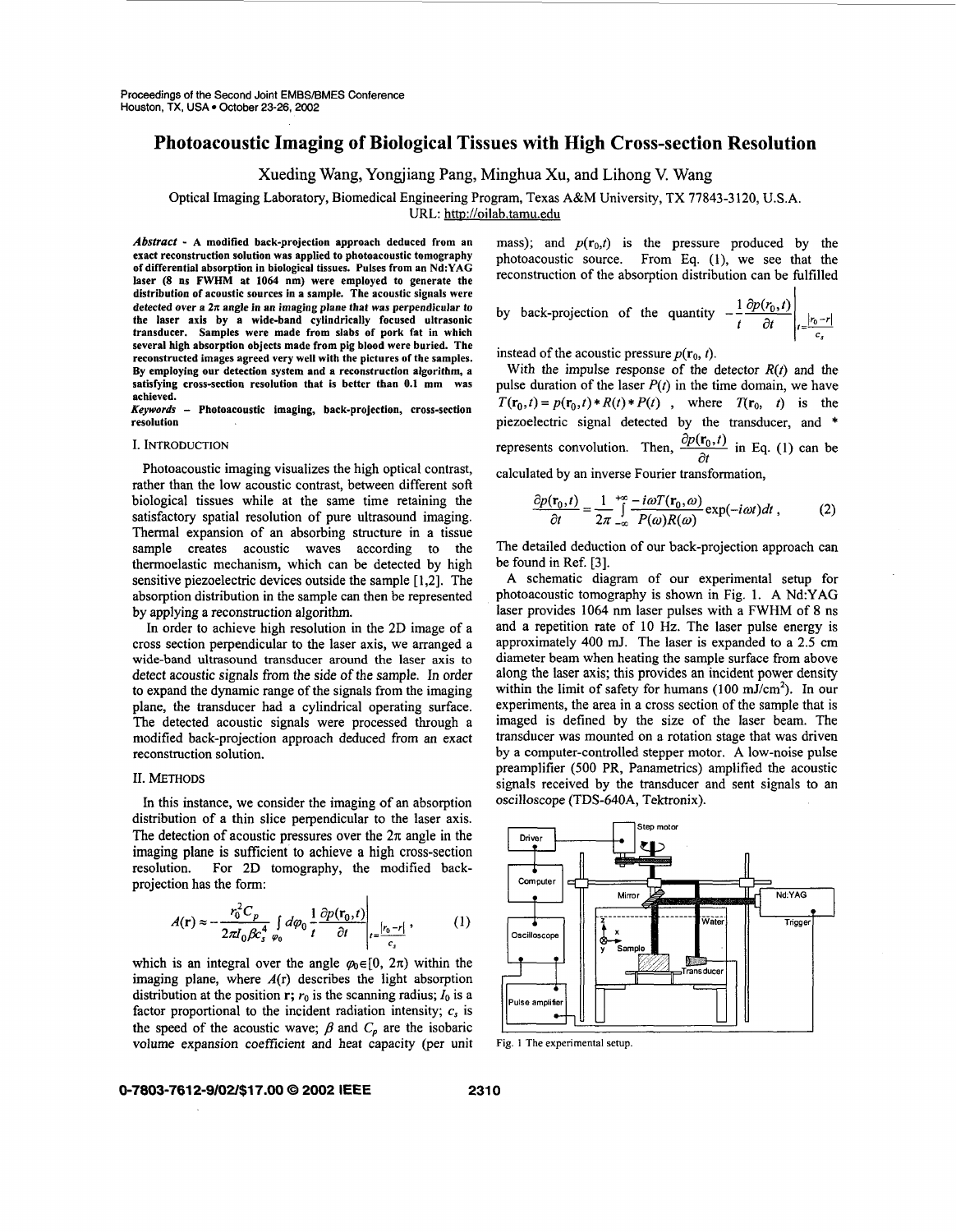# **Photoacoustic Imaging of Biological Tissues with High Cross-section Resolution**

Xueding Wang, Yongjiang Pang, Minghua Xu, and Lihong V. Wang

Optical Imaging Laboratory, Biomedical Engineering Program, Texas A&M University, TX **77843-3** 120, **U.S.A.** 

URL: http://oilab.tamu.edu

*Absrract* - **A modified back-projection approach deduced from an exact reconstruction solution was applied to photoacoustic tomography of differential absorption in biological tissues. Pulses from an Nd:YAG laser (8 ns FWHM at 1064 nm) were employed to generate the distribution of acoustic sources in a sample. The acoustic signals were detected over a** *2n* **angle in an imaging plane that was perpendicular to the laser axis by a wide-band cylindrically focused ultrasonic transducer. Samples were made from slabs of pork fat in which several high absorption objects made from pig blood were buried. The reconstructed images agreed very well with the pictures of the samples. By employing our detection system and a reconstruction algorithm, a satisfying cross-section resolution that is better than 0.1 mm was achieved.** 

Photoacoustic imaging, back-projection, cross-section **resolution** 

## I. INTRODUCTION

Photoacoustic imaging visualizes the high optical contrast, rather than the low acoustic contrast, between different soft biological tissues while at the same time retaining the satisfactory spatial resolution of pure ultrasound imaging. Thermal expansion of an absorbing structure in a tissue sample creates acoustic waves according to the thermoelastic mechanism, which can be detected by high sensitive piezoelectric devices outside the sample [1,2]. The absorption distribution in the sample can then be represented by applying a reconstruction algorithm.

In order to achieve high resolution in the **2D** image of a cross section perpendicular to the laser axis, we arranged a wide-band ultrasound transducer around **the** laser axis to detect acoustic signals from the side *of* the sample. In order to expand the dynamic range of the signals from the imaging plane, the transducer had a cylindrical operating surface. The detected acoustic signals were processed through a modified back-projection approach deduced from an exact reconstruction solution.

### 11. METHODS

In this instance, we consider the imaging of an absorption distribution of a thin slice perpendicular to the laser axis. The detection of acoustic pressures over the  $2\pi$  angle in the imaging plane is sufficient to achieve a high cross-section resolution. For **2D** tomography, the modified backprojection has the form:

$$
A(\mathbf{r}) \approx -\frac{r_0^2 C_p}{2\pi I_0 \beta c_s^4} \int\limits_{\varphi_0} d\varphi_0 \frac{1}{t} \frac{\partial p(\mathbf{r}_0, t)}{\partial t} \Bigg|_{t=\frac{|r_0 - r|}{c}} ,\tag{1}
$$

which is an integral over the angle  $\varphi_0 \in [0, 2\pi)$  within the imaging plane, where  $A(r)$  describes the light absorption distribution at the position  $r$ ;  $r_0$  is the scanning radius;  $I_0$  is a factor proportional to the incident radiation intensity;  $c_s$  is the speed of the acoustic wave;  $\beta$  and  $C_p$  are the isobaric volume expansion coefficient and heat capacity (per unit

mass); and  $p(r_0,t)$  is the pressure produced by the photoacoustic source. From Eq. (l), we see that the reconstruction of the absorption distribution can be fulfilled

 $\mathbf{L}$ 

by back-projection of the quantity 
$$
-\frac{1}{t}\frac{\partial p(r_0,t)}{\partial t}\Big|_{t=\frac{|r_0-r|}{c}}
$$

instead of the acoustic pressure  $p(\mathbf{r}_0, t)$ .

With the impulse response of the detector *R(t)* and the pulse duration of the laser  $P(t)$  in the time domain, we have  $T(\mathbf{r}_0,t) = p(\mathbf{r}_0,t) * R(t) * P(t)$ , where  $T(\mathbf{r}_0, t)$  is the piezoelectric signal detected by the transducer, and \* represents convolution. Then,  $\frac{\partial p(\mathbf{r}_0, t)}{\partial t}$  in Eq. (1) can be calculated by an inverse Fourier transformation,

$$
\frac{\partial p(\mathbf{r}_0,t)}{\partial t} = \frac{1}{2\pi} \int_{-\infty}^{+\infty} \frac{-i\omega T(\mathbf{r}_0,\omega)}{P(\omega)R(\omega)} \exp(-i\omega t) dt , \qquad (2)
$$

The detailed deduction of our back-projection approach can be found in Ref. **[3].** 

**A** schematic diagram of our experimental setup for photoacoustic tomography is shown in Fig. 1. **A** Nd:YAG laser provides **1064** nm laser pulses with a FWHM of 8 ns and a repetition rate of 10 Hz. The laser pulse energy is approximately 400 mJ. The laser is expanded to a 2.5 cm diameter beam when heating the sample surface from above along the laser axis; this provides an incident power density within the limit of safety for humans (100 mJ/cm<sup>2</sup>). In our experiments, the area in a cross section of the sample that is imaged is defined by the size of the laser beam. The transducer was mounted on a rotation stage that was driven by a computer-controlled stepper motor. A low-noise pulse preamplifier (500 PR, Panametrics) amplified the acoustic signals received by the transducer and sent signals to an



**Fig. 1 The experimental setup.** 

## **0-7803-761 2-9/02/\$17.00** *0* **2002 IEEE 231 0**